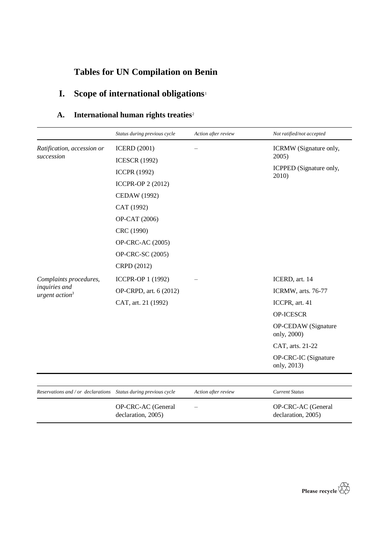# **Tables for UN Compilation on Benin**

# **I. Scope of international obligations**<sup>1</sup>

## **A.** International human rights treaties<sup>2</sup>

|                                                                 | Status during previous cycle | Action after review | Not ratified/not accepted           |
|-----------------------------------------------------------------|------------------------------|---------------------|-------------------------------------|
| Ratification, accession or                                      | <b>ICERD</b> (2001)          |                     | ICRMW (Signature only,              |
| succession                                                      | <b>ICESCR (1992)</b>         |                     | 2005)                               |
|                                                                 | <b>ICCPR (1992)</b>          |                     | ICPPED (Signature only,<br>2010)    |
|                                                                 | ICCPR-OP 2 (2012)            |                     |                                     |
|                                                                 | <b>CEDAW</b> (1992)          |                     |                                     |
|                                                                 | CAT (1992)                   |                     |                                     |
|                                                                 | OP-CAT (2006)                |                     |                                     |
|                                                                 | CRC (1990)                   |                     |                                     |
|                                                                 | OP-CRC-AC (2005)             |                     |                                     |
|                                                                 | OP-CRC-SC (2005)             |                     |                                     |
|                                                                 | CRPD (2012)                  |                     |                                     |
| Complaints procedures,<br>inquiries and<br>urgent $action3$     | ICCPR-OP 1 (1992)            |                     | ICERD, art. 14                      |
|                                                                 | OP-CRPD, art. 6 (2012)       |                     | ICRMW, arts. 76-77                  |
|                                                                 | CAT, art. 21 (1992)          |                     | ICCPR, art. 41                      |
|                                                                 |                              |                     | OP-ICESCR                           |
|                                                                 |                              |                     | OP-CEDAW (Signature<br>only, 2000)  |
|                                                                 |                              |                     | CAT, arts. 21-22                    |
|                                                                 |                              |                     | OP-CRC-IC (Signature<br>only, 2013) |
|                                                                 |                              |                     |                                     |
| Reservations and / or declarations Status during previous cycle |                              | Action after review | <b>Current Status</b>               |

| OP-CRC-AC (General<br>declaration, 2005) | $\overline{\phantom{0}}$ | OP-CRC-AC (General<br>declaration, 2005) |
|------------------------------------------|--------------------------|------------------------------------------|

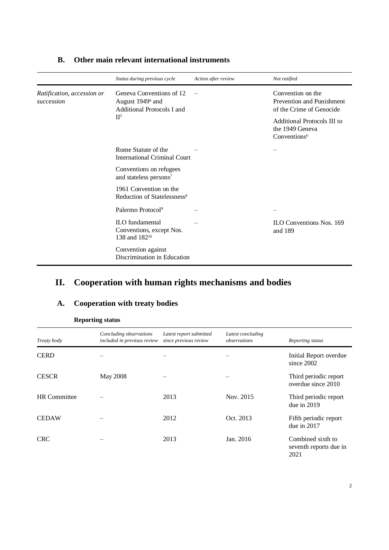|                                          | Status during previous cycle                                                           | Action after review | Not ratified                                                               |
|------------------------------------------|----------------------------------------------------------------------------------------|---------------------|----------------------------------------------------------------------------|
| Ratification, accession or<br>succession | Geneva Conventions of 12<br>August 1949 <sup>4</sup> and<br>Additional Protocols I and |                     | Convention on the<br>Prevention and Punishment<br>of the Crime of Genocide |
|                                          | II <sup>5</sup>                                                                        |                     | Additional Protocols III to<br>the 1949 Geneva<br>Conventions <sup>6</sup> |
|                                          | Rome Statute of the<br><b>International Criminal Court</b>                             |                     |                                                                            |
|                                          | Conventions on refugees<br>and stateless persons <sup>7</sup>                          |                     |                                                                            |
|                                          | 1961 Convention on the<br>Reduction of Statelessness <sup>8</sup>                      |                     |                                                                            |
|                                          | Palermo Protocol <sup>9</sup>                                                          |                     |                                                                            |
|                                          | ILO fundamental<br>Conventions, except Nos.<br>138 and 182 <sup>10</sup>               |                     | <b>ILO Conventions Nos. 169</b><br>and 189                                 |
|                                          | Convention against<br>Discrimination in Education                                      |                     |                                                                            |

#### **B. Other main relevant international instruments**

## **II. Cooperation with human rights mechanisms and bodies**

#### **A. Cooperation with treaty bodies**

| Treaty body         | Concluding observations<br>included in previous review | Latest report submitted<br>since previous review | Latest concluding<br>observations | Reporting status                                    |
|---------------------|--------------------------------------------------------|--------------------------------------------------|-----------------------------------|-----------------------------------------------------|
| <b>CERD</b>         |                                                        |                                                  |                                   | Initial Report overdue<br>since 2002                |
| <b>CESCR</b>        | May 2008                                               |                                                  |                                   | Third periodic report<br>overdue since 2010         |
| <b>HR</b> Committee |                                                        | 2013                                             | Nov. 2015                         | Third periodic report<br>due in 2019                |
| <b>CEDAW</b>        |                                                        | 2012                                             | Oct. 2013                         | Fifth periodic report<br>due in $2017$              |
| <b>CRC</b>          |                                                        | 2013                                             | Jan. 2016                         | Combined sixth to<br>seventh reports due in<br>2021 |

**Reporting status**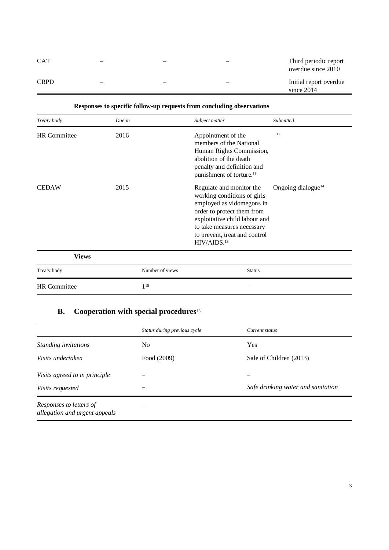| <b>CAT</b>  | $\overline{\phantom{0}}$ |  | Third periodic report<br>overdue since 2010 |
|-------------|--------------------------|--|---------------------------------------------|
| <b>CRPD</b> |                          |  | Initial report overdue<br>since $2014$      |

| Treaty body         | Due in          | Subject matter                                                                                                                                                                                                                                | Submitted                      |
|---------------------|-----------------|-----------------------------------------------------------------------------------------------------------------------------------------------------------------------------------------------------------------------------------------------|--------------------------------|
| <b>HR</b> Committee | 2016            | Appointment of the<br>members of the National<br>Human Rights Commission,<br>abolition of the death<br>penalty and definition and<br>punishment of torture. <sup>11</sup>                                                                     | $-12$                          |
| <b>CEDAW</b>        | 2015            | Regulate and monitor the<br>working conditions of girls<br>employed as vidomegons in<br>order to protect them from<br>exploitative child labour and<br>to take measures necessary<br>to prevent, treat and control<br>HIV/AIDS. <sup>13</sup> | Ongoing dialogue <sup>14</sup> |
| <b>Views</b>        |                 |                                                                                                                                                                                                                                               |                                |
| Treaty body         | Number of views | <b>Status</b>                                                                                                                                                                                                                                 |                                |
| <b>HR</b> Committee | $1^{15}$        |                                                                                                                                                                                                                                               |                                |

### **Responses to specific follow-up requests from concluding observations**

### **B.** Cooperation with special procedures<sup>16</sup>

|                                                          | Status during previous cycle | Current status                     |
|----------------------------------------------------------|------------------------------|------------------------------------|
| Standing invitations                                     | No.                          | Yes                                |
| <i>Visits undertaken</i>                                 | Food (2009)                  | Sale of Children (2013)            |
| Visits agreed to in principle                            |                              |                                    |
| Visits requested                                         |                              | Safe drinking water and sanitation |
| Responses to letters of<br>allegation and urgent appeals |                              |                                    |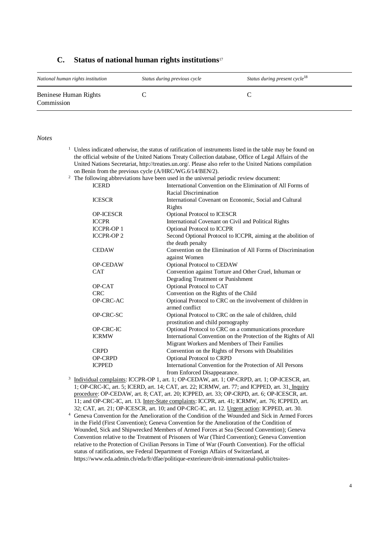#### **C. Status of national human rights institutions**<sup>17</sup>

| National human rights institution   | Status during previous cycle | Status during present cycle <sup>18</sup> |
|-------------------------------------|------------------------------|-------------------------------------------|
| Beninese Human Rights<br>Commission |                              |                                           |

#### *Notes*

|                                                                                                    | <sup>1</sup> Unless indicated otherwise, the status of ratification of instruments listed in the table may be found on |                                                               |  |
|----------------------------------------------------------------------------------------------------|------------------------------------------------------------------------------------------------------------------------|---------------------------------------------------------------|--|
|                                                                                                    | the official website of the United Nations Treaty Collection database, Office of Legal Affairs of the                  |                                                               |  |
|                                                                                                    | United Nations Secretariat, http://treaties.un.org/. Please also refer to the United Nations compilation               |                                                               |  |
| on Benin from the previous cycle (A/HRC/WG.6/14/BEN/2).                                            |                                                                                                                        |                                                               |  |
| <sup>2</sup> The following abbreviations have been used in the universal periodic review document: |                                                                                                                        |                                                               |  |
| <b>ICERD</b>                                                                                       |                                                                                                                        | International Convention on the Elimination of All Forms of   |  |
|                                                                                                    |                                                                                                                        | Racial Discrimination                                         |  |
|                                                                                                    | <b>ICESCR</b>                                                                                                          | International Covenant on Economic, Social and Cultural       |  |
|                                                                                                    |                                                                                                                        | Rights                                                        |  |
|                                                                                                    | <b>OP-ICESCR</b>                                                                                                       | Optional Protocol to ICESCR                                   |  |
|                                                                                                    | <b>ICCPR</b>                                                                                                           | International Covenant on Civil and Political Rights          |  |
|                                                                                                    | <b>ICCPR-OP 1</b>                                                                                                      | Optional Protocol to ICCPR                                    |  |
|                                                                                                    | <b>ICCPR-OP 2</b>                                                                                                      | Second Optional Protocol to ICCPR, aiming at the abolition of |  |
|                                                                                                    |                                                                                                                        | the death penalty                                             |  |
|                                                                                                    | <b>CEDAW</b>                                                                                                           | Convention on the Elimination of All Forms of Discrimination  |  |
|                                                                                                    |                                                                                                                        | against Women                                                 |  |
|                                                                                                    | <b>OP-CEDAW</b>                                                                                                        | <b>Optional Protocol to CEDAW</b>                             |  |
|                                                                                                    | <b>CAT</b>                                                                                                             | Convention against Torture and Other Cruel, Inhuman or        |  |
|                                                                                                    |                                                                                                                        | Degrading Treatment or Punishment                             |  |
|                                                                                                    | OP-CAT                                                                                                                 | Optional Protocol to CAT                                      |  |
|                                                                                                    | <b>CRC</b>                                                                                                             | Convention on the Rights of the Child                         |  |
|                                                                                                    | OP-CRC-AC                                                                                                              | Optional Protocol to CRC on the involvement of children in    |  |
|                                                                                                    |                                                                                                                        | armed conflict                                                |  |
|                                                                                                    | OP-CRC-SC                                                                                                              | Optional Protocol to CRC on the sale of children, child       |  |
|                                                                                                    |                                                                                                                        | prostitution and child pornography                            |  |
|                                                                                                    | <b>OP-CRC-IC</b>                                                                                                       | Optional Protocol to CRC on a communications procedure        |  |

ICRMW International Convention on the Protection of the Rights of All Migrant Workers and Members of Their Families CRPD Convention on the Rights of Persons with Disabilities OP-CRPD Optional Protocol to CRPD

ICPPED International Convention for the Protection of All Persons from Enforced Disappearance.

<sup>3</sup> Individual complaints: ICCPR-OP 1, art. 1; OP-CEDAW, art. 1; OP-CRPD, art. 1; OP-ICESCR, art. 1; OP-CRC-IC, art. 5; ICERD, art. 14; CAT, art. 22; ICRMW, art. 77; and ICPPED, art. 31. Inquiry procedure: OP-CEDAW, art. 8; CAT, art. 20; ICPPED, art. 33; OP-CRPD, art. 6; OP-ICESCR, art. 11; and OP-CRC-IC, art. 13. Inter-State complaints: ICCPR, art. 41; ICRMW, art. 76; ICPPED, art. 32; CAT, art. 21; OP-ICESCR, art. 10; and OP-CRC-IC, art. 12. Urgent action: ICPPED, art. 30.

<sup>4</sup> Geneva Convention for the Amelioration of the Condition of the Wounded and Sick in Armed Forces in the Field (First Convention); Geneva Convention for the Amelioration of the Condition of Wounded, Sick and Shipwrecked Members of Armed Forces at Sea (Second Convention); Geneva Convention relative to the Treatment of Prisoners of War (Third Convention); Geneva Convention relative to the Protection of Civilian Persons in Time of War (Fourth Convention). For the official status of ratifications, see Federal Department of Foreign Affairs of Switzerland, at https://www.eda.admin.ch/eda/fr/dfae/politique-exterieure/droit-international-public/traites